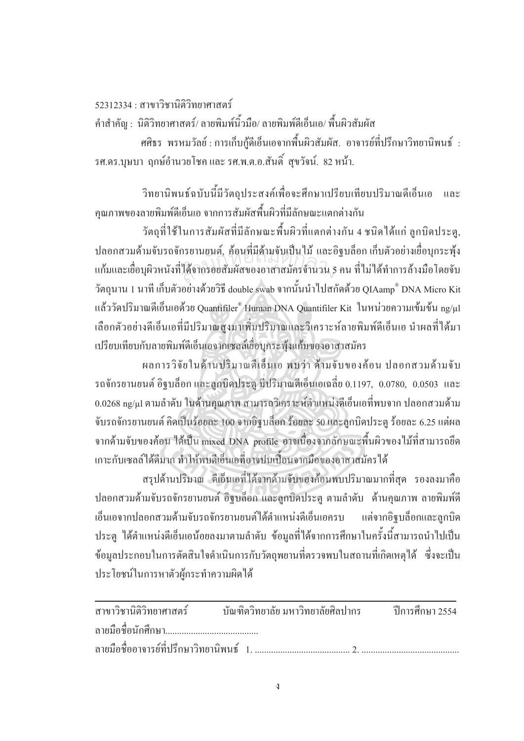52312334 : สาขาวิชานิติวิทยาศาสตร์

คำสำคัญ : นิติวิทยาศาสตร์/ ลายพิมพ์นิ้วมือ/ ลายพิมพ์ดีเอ็นเอ/ พื้นผิวสัมผัส

ี ศศิธร พรหมวัลย์ : การเก็บกู้ดีเอ็นเอจากพื้นผิวสัมผัส. อาจารย์ที่ปรึกษาวิทยานิพนธ์ : รศ.คร.บุษบา ฤกษ์อำนวยโชคและ รศ.พ.ต.อ.สันติ์ สูขวัจน์. 82 หน้า.

วิทยานิพนธ์ฉบับนี้มีวัตถุประสงค์เพื่อจะศึกษาเปรียบเทียบปริมาณดีเอ็นเอ และ คุณภาพของลายพิมพ์ดีเอ็นเอ จากการสัมผัสพื้นผิวที่มีลักษณะแตกต่างกัน

้วัตถุที่ใช้ในการสัมผัสที่มีลักษณะพื้นผิวที่แตกต่างกัน 4 ชนิดได้แก่ ลูกบิดประตู, ปลอกสวมค้ามจับรถจักรยานยนต์, ค้อนที่มีค้ามจับเป็นไม้ และอิฐบล็อก เก็บตัวอย่างเยื่อบุกระพุ้ง แก้มและเยื่อบุผิวหนังที่ได้จากรอยสัมผัสของอาสาสมัครจำนวน 5 คน ที่ไม่ได้ทำการล้างมือโดยจับ ้วัตถุนาน 1 นาที เก็บตัวอย่างด้วยวิธี double swab จากนั้นนำไปสกัดด้วย QIAamp® DNA Micro Kit แล้ววัดปริมาณดีเอ็นเอด้วย Quantifiler® Human DNA Quantifiler Kit ในหน่วยความเข้มข้น ng/ul เลือกตัวอย่างดีเอ็นเอที่มีปริมาณสูงมาเพิ่มปริมาณและวิเคราะห์ลายพิมพ์ดีเอ็นเอ นำผลที่ได้มา เปรียบเทียบกับลายพิมพ์ดีเอ็นเอจากเซลล์เชื่อบกระพ้งแก้มของอาสาสมัคร

ผลการวิจัยในด้านปริมาณคีเอ็นเอ พบว่า ด้ามจับของค้อน ปลอกสวมด้ามจับ รถจักรยานยนต์ อิฐบล็อก และลูกบิดประตู มีปริมาณดีเอ็นเอเฉลี่ย 0.1197, 0.0780, 0.0503 และ 0.0268 ng/µl ตามลำดับ ในด้านคุณภาพ สามารถวิเคราะห์ตำแหน่งดีเอ็นเอที่พบจาก ปลอกสวมด้าม จับรถจักรยานยนต์ คิดเป็นร้อยละ 100 จากอิฐบล็อก ร้อยละ 50 และลูกบิดประตู ร้อยละ 6.25 แต่ผล จากค้ามจับของค้อน ได้เป็น mixed DNA profile อาจเนื่องจากลักษณะพื้นผิวของไม้ที่สามารถยึด เกาะกับเซลล์ได้ดีมาก ทำให้พบดีเอ็บเอที่อาจปบเปื้อบจากมีอุของอาสาสมัครได้

ิสรุปด้านปริมาณ คีเอ็นเอที่ได้จากด้ามจับของค้อนพบปริมาณมากที่สุด รองลงมาคือ ปลอกสวมด้ามจับรถจักรยานยนต์ อิฐบล็อก และลูกบิดประตู ตามลำดับ ด้านคุณภาพ ลายพิมพ์ดี เอ็นเอจากปลอกสวมด้ามจับรถจักรยานยนต์ใด้ตำแหน่งดีเอ็นเอครบ แต่จากอิจบล็อกและลกบิด ี ประต "ได้ตำแหน่งดีเอ็นเอน้อยลงมาตามลำดับ ข้อมลที่ได้จากการศึกษาในครั้งนี้สามารถนำไปเป็น ข้อมูลประกอบในการตัดสินใจคำเนินการกับวัตถุพยานที่ตรวจพบในสถานที่เกิดเหตุได้ ซึ่งจะเป็น ประโยชน์ในการหาตัวผู้กระทำความผิดได้

| ิสาขาวิชานิติวิทยาศาสตร์ บัณฑิตวิทยาลัย มหาวิทยาลัยศิลปากร ปีการศึกษา 2554 |  |
|----------------------------------------------------------------------------|--|
|                                                                            |  |
|                                                                            |  |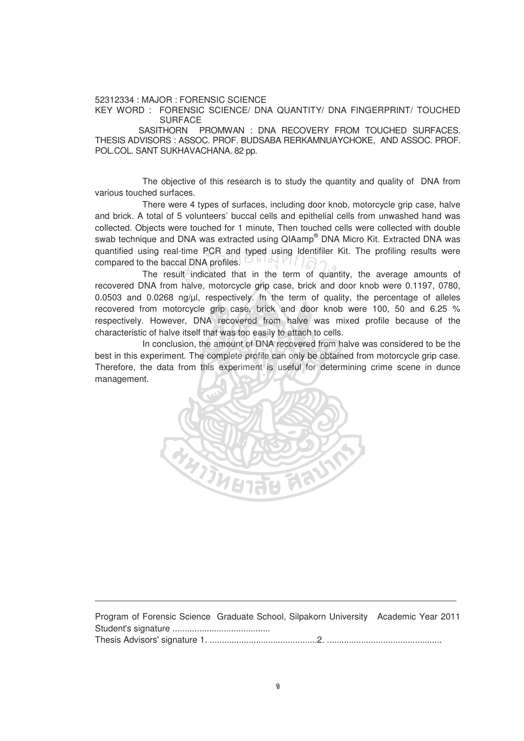52312334 : MAJOR : FORENSIC SCIENCE

KEY WORD : FORENSIC SCIENCE/ DNA QUANTITY/ DNA FINGERPRINT/ TOUCHED SURFACE

SASITHORN PROMWAN : DNA RECOVERY FROM TOUCHED SURFACES. THESIS ADVISORS : ASSOC. PROF. BUDSABA RERKAMNUAYCHOKE, AND ASSOC. PROF. POL.COL. SANT SUKHAVACHANA. 82 pp.

The objective of this research is to study the quantity and quality of DNA from various touched surfaces.

There were 4 types of surfaces, including door knob, motorcycle grip case, halve and brick. A total of 5 volunteers' buccal cells and epithelial cells from unwashed hand was collected. Objects were touched for 1 minute, Then touched cells were collected with double swab technique and DNA was extracted using QIAamp® DNA Micro Kit. Extracted DNA was quantified using real-time PCR and typed using Identifiler Kit. The profiling results were compared to the baccal DNA profiles. The result indicated that in the term of quantity, the average amounts of  $\frac{1}{2}$ time PCR and typed us<br>al DNA profiles.<br>Il indicated that in the

recovered DNA from halve, motorcycle grip case, brick and door knob were 0.1197, 0780, 0.0503 and 0.0268 ng/µl, respectively. In the term of quality, the percentage of alleles recovered from motorcycle grip case, brick and door knob were 100, 50 and 6.25 % respectively. However, DNA recovered from halve was mixed profile because of the characteristic of halve itself that was too easily to attach to cells.

In conclusion, the amount of DNA recovered from halve was considered to be the best in this experiment. The complete profile can only be obtained from motorcycle grip case. Therefore, the data from this experiment is useful for determining crime scene in dunce management.



Program of Forensic Science Graduate School, Silpakorn University Academic Year 2011 Student's signature ........................................ Thesis Advisors' signature 1. ............................................2. ...............................................